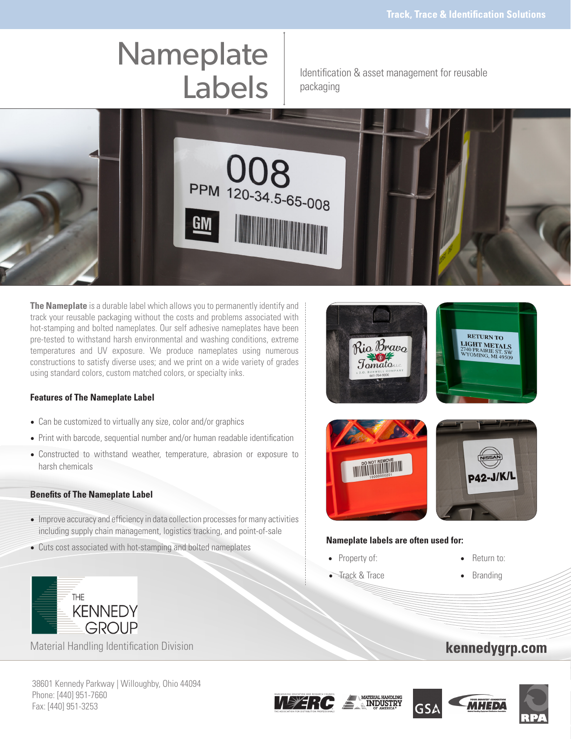# **Nameplate**

Labels | Identification & asset management for reusable packaging



**The Nameplate** is a durable label which allows you to permanently identify and track your reusable packaging without the costs and problems associated with hot-stamping and bolted nameplates. Our self adhesive nameplates have been pre-tested to withstand harsh environmental and washing conditions, extreme temperatures and UV exposure. We produce nameplates using numerous constructions to satisfy diverse uses; and we print on a wide variety of grades using standard colors, custom matched colors, or specialty inks.

## **Features of The Nameplate Label**

- Can be customized to virtually any size, color and/or graphics
- Print with barcode, sequential number and/or human readable identification
- Constructed to withstand weather, temperature, abrasion or exposure to harsh chemicals

### **Benefits of The Nameplate Label**

**THE** 

- Improve accuracy and efficiency in data collection processes for many activities including supply chain management, logistics tracking, and point-of-sale
- Cuts cost associated with hot-stamping and bolted nameplates **Nameplate labels are often used for:**





Rio Bravo

- Property of: Return to:
- Frack & Trace Branding
- 

**RETURN TO** 

# kennedygrp.com





38601 Kennedy Parkway | Willoughby, Ohio 44094 Phone: [440] 951-7660 Fax: [440] 951-3253

Material Handling Identification Division

**KENNEDY GROUP**